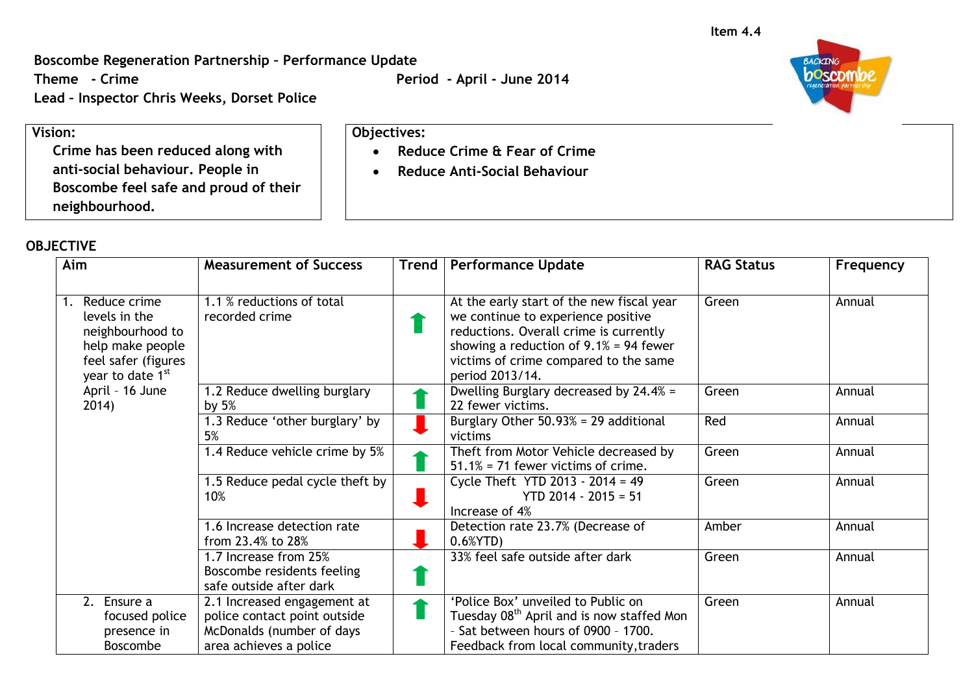**Boscombe Regeneration Partnership – Performance Update**

**Lead – Inspector Chris Weeks, Dorset Police**

**Vision:**

**Crime has been reduced along with anti-social behaviour. People in Boscombe feel safe and proud of their neighbourhood.**

## **OBJECTIVE**

| Aim                                                                                                                    | <b>Measurement of Success</b>                                                                                      | Trend   Performance Update                                                                                                                                                                                                         | <b>RAG Status</b> | Frequency |
|------------------------------------------------------------------------------------------------------------------------|--------------------------------------------------------------------------------------------------------------------|------------------------------------------------------------------------------------------------------------------------------------------------------------------------------------------------------------------------------------|-------------------|-----------|
| Reduce crime<br>1.<br>levels in the<br>neighbourhood to<br>help make people<br>feel safer (figures<br>year to date 1st | 1.1 % reductions of total<br>recorded crime                                                                        | At the early start of the new fiscal year<br>we continue to experience positive<br>reductions. Overall crime is currently<br>showing a reduction of $9.1\% = 94$ fewer<br>victims of crime compared to the same<br>period 2013/14. | Green             | Annual    |
| April - 16 June<br>2014)                                                                                               | 1.2 Reduce dwelling burglary<br>by $5%$                                                                            | Dwelling Burglary decreased by 24.4% =<br>22 fewer victims.                                                                                                                                                                        | Green             | Annual    |
|                                                                                                                        | 1.3 Reduce 'other burglary' by<br>5%                                                                               | Burglary Other 50.93% = 29 additional<br>victims                                                                                                                                                                                   | Red               | Annual    |
|                                                                                                                        | 1.4 Reduce vehicle crime by 5%                                                                                     | Theft from Motor Vehicle decreased by<br>$51.1\%$ = 71 fewer victims of crime.                                                                                                                                                     | Green             | Annual    |
|                                                                                                                        | 1.5 Reduce pedal cycle theft by<br>10%                                                                             | Cycle Theft YTD 2013 - 2014 = 49<br>$YTD$ 2014 - 2015 = 51<br>Increase of 4%                                                                                                                                                       | Green             | Annual    |
|                                                                                                                        | 1.6 Increase detection rate<br>from 23.4% to 28%                                                                   | Detection rate 23.7% (Decrease of<br>$0.6%$ YTD)                                                                                                                                                                                   | Amber             | Annual    |
|                                                                                                                        | 1.7 Increase from 25%<br>Boscombe residents feeling<br>safe outside after dark                                     | 33% feel safe outside after dark                                                                                                                                                                                                   | Green             | Annual    |
| $\overline{2.}$ Ensure a<br>focused police<br>presence in<br><b>Boscombe</b>                                           | 2.1 Increased engagement at<br>police contact point outside<br>McDonalds (number of days<br>area achieves a police | 'Police Box' unveiled to Public on<br>Tuesday 08 <sup>th</sup> April and is now staffed Mon<br>- Sat between hours of 0900 - 1700.<br>Feedback from local community, traders                                                       | Green             | Annual    |

**BACKING** poscom

**Theme - Crime Period - April - June 2014**

 **Reduce Crime & Fear of Crime Reduce Anti-Social Behaviour**

**Objectives:**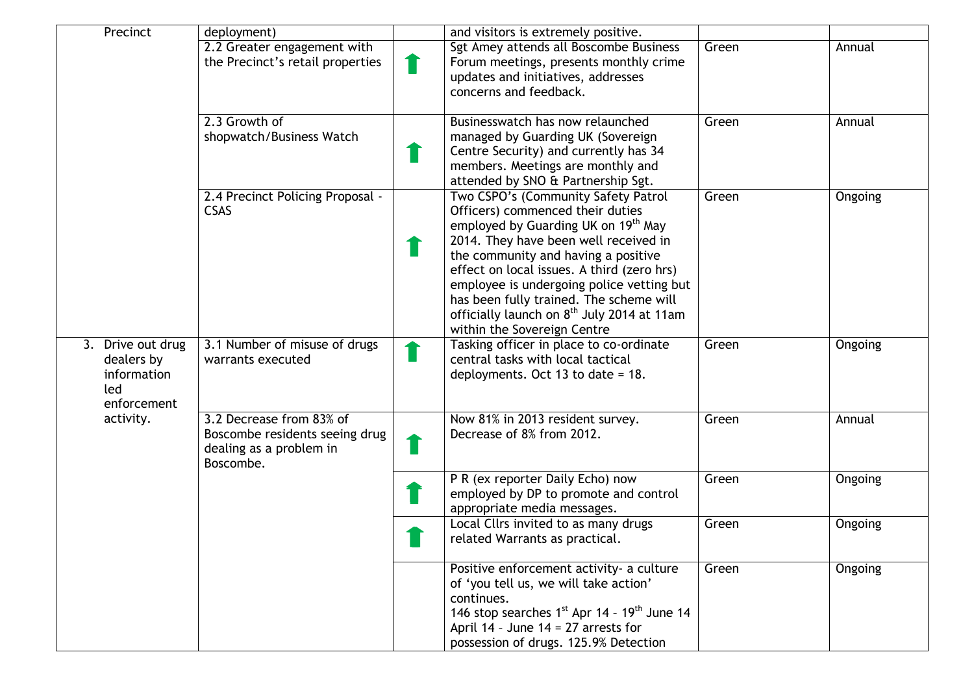| Precinct                                                             | deployment)                                                                                        | and visitors is extremely positive.                                                                                                                                                                                                                                                                                                                                                                                                       |       |         |
|----------------------------------------------------------------------|----------------------------------------------------------------------------------------------------|-------------------------------------------------------------------------------------------------------------------------------------------------------------------------------------------------------------------------------------------------------------------------------------------------------------------------------------------------------------------------------------------------------------------------------------------|-------|---------|
|                                                                      | 2.2 Greater engagement with<br>the Precinct's retail properties                                    | Sgt Amey attends all Boscombe Business<br>Forum meetings, presents monthly crime                                                                                                                                                                                                                                                                                                                                                          | Green | Annual  |
|                                                                      |                                                                                                    | updates and initiatives, addresses<br>concerns and feedback.                                                                                                                                                                                                                                                                                                                                                                              |       |         |
|                                                                      | 2.3 Growth of<br>shopwatch/Business Watch                                                          | Businesswatch has now relaunched<br>managed by Guarding UK (Sovereign<br>Centre Security) and currently has 34<br>members. Meetings are monthly and<br>attended by SNO & Partnership Sgt.                                                                                                                                                                                                                                                 | Green | Annual  |
|                                                                      | 2.4 Precinct Policing Proposal -<br><b>CSAS</b>                                                    | Two CSPO's (Community Safety Patrol<br>Officers) commenced their duties<br>employed by Guarding UK on 19 <sup>th</sup> May<br>2014. They have been well received in<br>the community and having a positive<br>effect on local issues. A third (zero hrs)<br>employee is undergoing police vetting but<br>has been fully trained. The scheme will<br>officially launch on 8 <sup>th</sup> July 2014 at 11am<br>within the Sovereign Centre | Green | Ongoing |
| 3. Drive out drug<br>dealers by<br>information<br>led<br>enforcement | 3.1 Number of misuse of drugs<br>warrants executed                                                 | Tasking officer in place to co-ordinate<br>central tasks with local tactical<br>deployments. Oct 13 to date = $18$ .                                                                                                                                                                                                                                                                                                                      | Green | Ongoing |
| activity.                                                            | 3.2 Decrease from 83% of<br>Boscombe residents seeing drug<br>dealing as a problem in<br>Boscombe. | Now 81% in 2013 resident survey.<br>Decrease of 8% from 2012.                                                                                                                                                                                                                                                                                                                                                                             | Green | Annual  |
|                                                                      |                                                                                                    | P R (ex reporter Daily Echo) now<br>employed by DP to promote and control<br>appropriate media messages.                                                                                                                                                                                                                                                                                                                                  | Green | Ongoing |
|                                                                      |                                                                                                    | Local Cllrs invited to as many drugs<br>related Warrants as practical.                                                                                                                                                                                                                                                                                                                                                                    | Green | Ongoing |
|                                                                      |                                                                                                    | Positive enforcement activity- a culture<br>of 'you tell us, we will take action'<br>continues.<br>146 stop searches $1^{st}$ Apr 14 - $19^{th}$ June 14<br>April 14 - June 14 = 27 arrests for<br>possession of drugs. 125.9% Detection                                                                                                                                                                                                  | Green | Ongoing |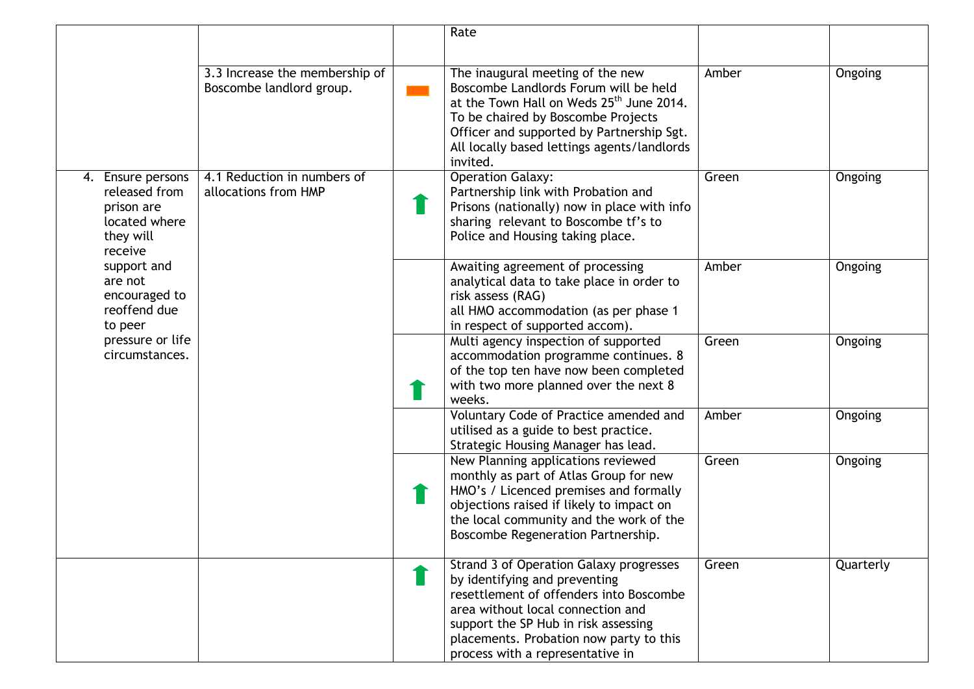|                                                                                                                                                                                                       |                                                            | Rate                                                                                                                                                                                                                                                                            |       |           |
|-------------------------------------------------------------------------------------------------------------------------------------------------------------------------------------------------------|------------------------------------------------------------|---------------------------------------------------------------------------------------------------------------------------------------------------------------------------------------------------------------------------------------------------------------------------------|-------|-----------|
|                                                                                                                                                                                                       | 3.3 Increase the membership of<br>Boscombe landlord group. | The inaugural meeting of the new<br>Boscombe Landlords Forum will be held<br>at the Town Hall on Weds 25 <sup>th</sup> June 2014.<br>To be chaired by Boscombe Projects<br>Officer and supported by Partnership Sgt.<br>All locally based lettings agents/landlords<br>invited. | Amber | Ongoing   |
| 4. Ensure persons<br>released from<br>prison are<br>located where<br>they will<br>receive<br>support and<br>are not<br>encouraged to<br>reoffend due<br>to peer<br>pressure or life<br>circumstances. | 4.1 Reduction in numbers of<br>allocations from HMP        | <b>Operation Galaxy:</b><br>Partnership link with Probation and<br>Prisons (nationally) now in place with info<br>sharing relevant to Boscombe tf's to<br>Police and Housing taking place.                                                                                      | Green | Ongoing   |
|                                                                                                                                                                                                       |                                                            | Awaiting agreement of processing<br>analytical data to take place in order to<br>risk assess (RAG)<br>all HMO accommodation (as per phase 1<br>in respect of supported accom).                                                                                                  | Amber | Ongoing   |
|                                                                                                                                                                                                       |                                                            | Multi agency inspection of supported<br>accommodation programme continues. 8<br>of the top ten have now been completed<br>with two more planned over the next 8<br>weeks.                                                                                                       | Green | Ongoing   |
|                                                                                                                                                                                                       |                                                            | Voluntary Code of Practice amended and<br>utilised as a guide to best practice.<br>Strategic Housing Manager has lead.                                                                                                                                                          | Amber | Ongoing   |
|                                                                                                                                                                                                       |                                                            | New Planning applications reviewed<br>monthly as part of Atlas Group for new<br>HMO's / Licenced premises and formally<br>objections raised if likely to impact on<br>the local community and the work of the<br>Boscombe Regeneration Partnership.                             | Green | Ongoing   |
|                                                                                                                                                                                                       |                                                            | Strand 3 of Operation Galaxy progresses<br>by identifying and preventing<br>resettlement of offenders into Boscombe<br>area without local connection and<br>support the SP Hub in risk assessing<br>placements. Probation now party to this<br>process with a representative in | Green | Quarterly |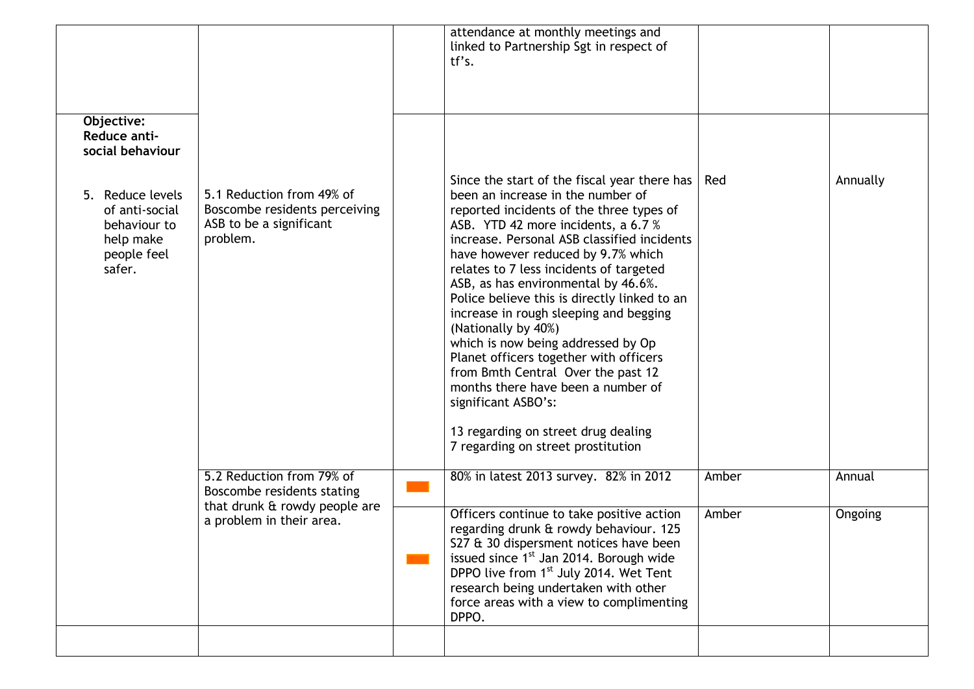| Objective:<br>Reduce anti-<br>social behaviour                                           |                                                                                                   | attendance at monthly meetings and<br>linked to Partnership Sgt in respect of<br>tf's.                                                                                                                                                                                                                                                                                                                                                                                                                                                                                                                                                                                                                                       |       |          |
|------------------------------------------------------------------------------------------|---------------------------------------------------------------------------------------------------|------------------------------------------------------------------------------------------------------------------------------------------------------------------------------------------------------------------------------------------------------------------------------------------------------------------------------------------------------------------------------------------------------------------------------------------------------------------------------------------------------------------------------------------------------------------------------------------------------------------------------------------------------------------------------------------------------------------------------|-------|----------|
| 5. Reduce levels<br>of anti-social<br>behaviour to<br>help make<br>people feel<br>safer. | 5.1 Reduction from 49% of<br>Boscombe residents perceiving<br>ASB to be a significant<br>problem. | Since the start of the fiscal year there has<br>been an increase in the number of<br>reported incidents of the three types of<br>ASB. YTD 42 more incidents, a 6.7 %<br>increase. Personal ASB classified incidents<br>have however reduced by 9.7% which<br>relates to 7 less incidents of targeted<br>ASB, as has environmental by 46.6%.<br>Police believe this is directly linked to an<br>increase in rough sleeping and begging<br>(Nationally by 40%)<br>which is now being addressed by Op<br>Planet officers together with officers<br>from Bmth Central Over the past 12<br>months there have been a number of<br>significant ASBO's:<br>13 regarding on street drug dealing<br>7 regarding on street prostitution | Red   | Annually |
|                                                                                          | 5.2 Reduction from 79% of<br>Boscombe residents stating                                           | 80% in latest 2013 survey. 82% in 2012                                                                                                                                                                                                                                                                                                                                                                                                                                                                                                                                                                                                                                                                                       | Amber | Annual   |
|                                                                                          | that drunk & rowdy people are<br>a problem in their area.                                         | Officers continue to take positive action<br>regarding drunk & rowdy behaviour. 125<br>S27 & 30 dispersment notices have been<br>issued since 1 <sup>st</sup> Jan 2014. Borough wide<br>DPPO live from 1 <sup>st</sup> July 2014. Wet Tent<br>research being undertaken with other<br>force areas with a view to complimenting<br>DPPO.                                                                                                                                                                                                                                                                                                                                                                                      | Amber | Ongoing  |
|                                                                                          |                                                                                                   |                                                                                                                                                                                                                                                                                                                                                                                                                                                                                                                                                                                                                                                                                                                              |       |          |